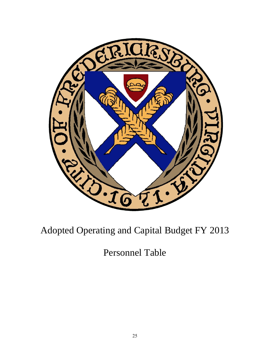

## Adopted Operating and Capital Budget FY 2013

Personnel Table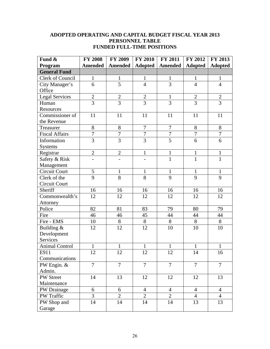## **ADOPTED OPERATING AND CAPITAL BUDGET FISCAL YEAR 2013 PERSONNEL TABLE FUNDED FULL-TIME POSITIONS**

| Fund &                | <b>FY 2008</b> | <b>FY 2009</b> | <b>FY 2010</b> | FY 2011        | <b>FY 2012</b> | FY 2013        |
|-----------------------|----------------|----------------|----------------|----------------|----------------|----------------|
| Program               | <b>Amended</b> | Amended        | <b>Adopted</b> | Amended        | <b>Adopted</b> | <b>Adopted</b> |
| <b>General Fund</b>   |                |                |                |                |                |                |
| Clerk of Council      | $\mathbf{1}$   | $\mathbf{1}$   | $\mathbf{1}$   | $\mathbf{1}$   | $\mathbf{1}$   | $\mathbf{1}$   |
| City Manager's        | 6              | 5              | $\overline{4}$ | 3              | $\overline{4}$ | $\overline{4}$ |
| Office                |                |                |                |                |                |                |
| <b>Legal Services</b> | $\overline{2}$ | $\overline{2}$ | $\overline{2}$ | $\mathbf{1}$   | $\overline{2}$ | $\mathbf{2}$   |
| Human                 | $\overline{3}$ | $\overline{3}$ | $\overline{3}$ | 3              | $\overline{3}$ | $\overline{3}$ |
| Resources             |                |                |                |                |                |                |
| Commissioner of       | 11             | 11             | 11             | 11             | 11             | 11             |
| the Revenue           |                |                |                |                |                |                |
| Treasurer             | 8              | $8\,$          | $\overline{7}$ | $\overline{7}$ | $8\,$          | 8              |
| <b>Fiscal Affairs</b> | $\overline{7}$ | $\overline{7}$ | $\overline{7}$ | $\overline{7}$ | $\overline{7}$ | $\overline{7}$ |
| Information           | $\overline{3}$ | $\overline{3}$ | $\overline{3}$ | $\overline{5}$ | 6              | 6              |
| <b>Systems</b>        |                |                |                |                |                |                |
| Registrar             | $\overline{2}$ | $\mathbf{2}$   | $\mathbf{1}$   | $\mathbf{1}$   | $\mathbf{1}$   | $\mathbf{1}$   |
| Safety & Risk         | $\overline{a}$ |                | $\overline{a}$ | $\mathbf{1}$   | $\mathbf{1}$   | $\mathbf{1}$   |
| Management            |                |                |                |                |                |                |
| Circuit Court         | 5              | $\mathbf{1}$   | $\mathbf{1}$   | $\mathbf{1}$   | $\mathbf{1}$   | $\mathbf{1}$   |
| Clerk of the          | $\overline{9}$ | 8              | 8              | 9              | 9              | 9              |
| Circuit Court         |                |                |                |                |                |                |
| Sheriff               | 16             | 16             | 16             | 16             | 16             | 16             |
| Commonwealth's        | 12             | 12             | 12             | 12             | 12             | 12             |
| Attorney              |                |                |                |                |                |                |
| Police                | 82             | 81             | 83             | 79             | 80             | 79             |
| Fire                  | 46             | 46             | 45             | 44             | 44             | 44             |
| Fire - EMS            | 10             | $8\,$          | 8              | 8              | 8              | 8              |
| Building &            | 12             | 12             | 12             | 10             | 10             | 10             |
| Development           |                |                |                |                |                |                |
| Services              |                |                |                |                |                |                |
| <b>Animal Control</b> | 1              | $\mathbf{1}$   | 1              | $\mathbf{1}$   | $\mathbf{1}$   | $\mathbf{1}$   |
| E911                  | 12             | 12             | 12             | 12             | 14             | 16             |
| Communications        |                |                |                |                |                |                |
| PW Engin. &           | $\overline{7}$ | $\overline{7}$ | $\overline{7}$ | $\overline{7}$ | $\overline{7}$ | $\overline{7}$ |
| Admin.                |                |                |                |                |                |                |
| PW Street             | 14             | 13             | 12             | 12             | 12             | 13             |
| Maintenance           |                |                |                |                |                |                |
| PW Drainage           | 6              | 6              | $\overline{4}$ | $\overline{4}$ | $\overline{4}$ | $\overline{4}$ |
| PW Traffic            | $\overline{3}$ | $\overline{2}$ | $\overline{2}$ | $\overline{2}$ | $\overline{4}$ | $\overline{4}$ |
| PW Shop and           | 14             | 14             | 14             | 14             | 13             | 13             |
| Garage                |                |                |                |                |                |                |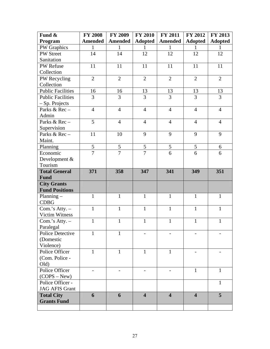| Fund &                   | <b>FY 2008</b> | <b>FY 2009</b> | <b>FY 2010</b>           | <b>FY 2011</b>          | <b>FY 2012</b>          | FY 2013        |
|--------------------------|----------------|----------------|--------------------------|-------------------------|-------------------------|----------------|
| Program                  | <b>Amended</b> | <b>Amended</b> | <b>Adopted</b>           | <b>Amended</b>          | <b>Adopted</b>          | <b>Adopted</b> |
| <b>PW</b> Graphics       | 1              | $\mathbf{1}$   | 1                        | 1                       | 1                       | 1              |
| <b>PW Street</b>         | 14             | 14             | 12                       | 12                      | 12                      | 12             |
| Sanitation               |                |                |                          |                         |                         |                |
| PW Refuse                | 11             | 11             | 11                       | 11                      | 11                      | 11             |
| Collection               |                |                |                          |                         |                         |                |
| PW Recycling             | $\overline{2}$ | $\overline{2}$ | $\overline{2}$           | $\overline{2}$          | $\overline{2}$          | $\overline{2}$ |
| Collection               |                |                |                          |                         |                         |                |
| <b>Public Facilities</b> | 16             | 16             | 13                       | 13                      | 13                      | 13             |
| <b>Public Facilities</b> | 3              | 3              | 3                        | 3                       | $\overline{3}$          | 3              |
| $-Sp.$ Projects          |                |                |                          |                         |                         |                |
| Parks & Rec -            | $\overline{4}$ | $\overline{4}$ | $\overline{4}$           | $\overline{4}$          | $\overline{4}$          | $\overline{4}$ |
| Admin                    |                |                |                          |                         |                         |                |
| Parks & Rec -            | 5              | $\overline{4}$ | $\overline{4}$           | $\overline{4}$          | $\overline{4}$          | $\overline{4}$ |
| Supervision              |                |                |                          |                         |                         |                |
| Parks & Rec -            | 11             | 10             | 9                        | 9                       | 9                       | 9              |
| Maint.                   |                |                |                          |                         |                         |                |
| Planning                 | 5              | 5              | 5                        | 5                       | 5                       | 6              |
| Economic                 | $\overline{7}$ | $\overline{7}$ | $\overline{7}$           | 6                       | 6                       | 6              |
| Development &            |                |                |                          |                         |                         |                |
| Tourism                  |                |                |                          |                         |                         |                |
| <b>Total General</b>     | 371            | 358            | 347                      | 341                     | 349                     | 351            |
| <b>Fund</b>              |                |                |                          |                         |                         |                |
| <b>City Grants</b>       |                |                |                          |                         |                         |                |
| <b>Fund Positions</b>    |                |                |                          |                         |                         |                |
| Planning $-$             | 1              | $\mathbf{1}$   | 1                        | 1                       | 1                       | $\mathbf{1}$   |
| <b>CDBG</b>              |                |                |                          |                         |                         |                |
| Com.'s Atty. -           | $\mathbf{1}$   | $\mathbf{1}$   | $\mathbf{1}$             | $\mathbf{1}$            | $\mathbf{1}$            | $\mathbf{1}$   |
| <b>Victim Witness</b>    |                |                |                          |                         |                         |                |
| Com.'s Atty. -           | $\mathbf{1}$   | $\mathbf{1}$   | $\mathbf{1}$             | $\mathbf{1}$            | $\mathbf{1}$            | $\mathbf 1$    |
| Paralegal                |                |                |                          |                         |                         |                |
| Police Detective         | 1              | 1              |                          |                         |                         |                |
| (Domestic                |                |                |                          |                         |                         |                |
| Violence)                |                |                |                          |                         |                         |                |
| Police Officer           | 1              | 1              | 1                        | 1                       |                         |                |
| (Com. Police -           |                |                |                          |                         |                         |                |
| Old)                     |                |                |                          |                         |                         |                |
| Police Officer           |                |                | $\overline{\phantom{0}}$ |                         | 1                       | $\mathbf{1}$   |
| $(COPS - New)$           |                |                |                          |                         |                         |                |
| Police Officer -         |                |                |                          |                         |                         | $\mathbf{1}$   |
| <b>JAG AFIS Grant</b>    |                |                |                          |                         |                         |                |
| <b>Total City</b>        | 6              | 6              | $\overline{\mathbf{4}}$  | $\overline{\mathbf{4}}$ | $\overline{\mathbf{4}}$ | 5              |
| <b>Grants Fund</b>       |                |                |                          |                         |                         |                |
|                          |                |                |                          |                         |                         |                |